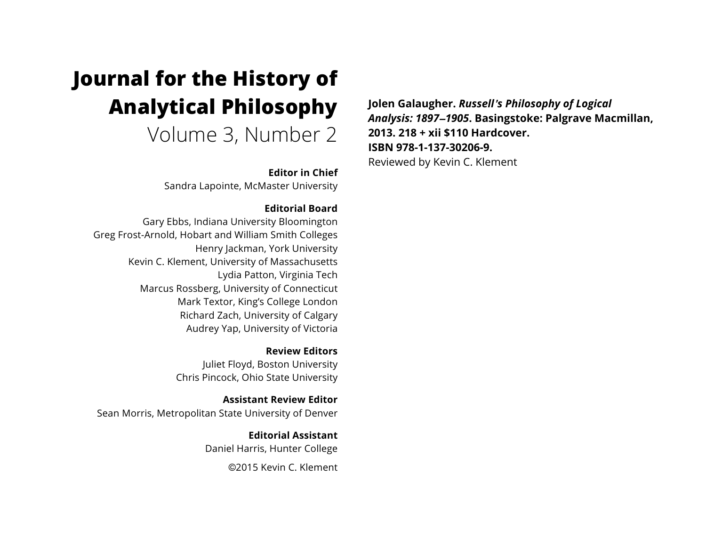# **Journal for the History of Analytical Philosophy**

Volume 3, Number 2

**Editor in Chief**

Sandra Lapointe, McMaster University

### **Editorial Board**

Gary Ebbs, Indiana University Bloomington Greg Frost-Arnold, Hobart and William Smith Colleges Henry Jackman, York University Kevin C. Klement, University of Massachusetts Lydia Patton, Virginia Tech Marcus Rossberg, University of Connecticut Mark Textor, King's College London Richard Zach, University of Calgary Audrey Yap, University of Victoria

> **Review Editors** Juliet Floyd, Boston University Chris Pincock, Ohio State University

**Assistant Review Editor** Sean Morris, Metropolitan State University of Denver

> **Editorial Assistant** Daniel Harris, Hunter College

> > ©2015 Kevin C. Klement

**Jolen Galaugher.** *Russell*'*s Philosophy of Logical Analysis: 1897*–*1905***. Basingstoke: Palgrave Macmillan, 2013. 218 + xii \$110 Hardcover. ISBN 978-1-137-30206-9.** Reviewed by Kevin C. Klement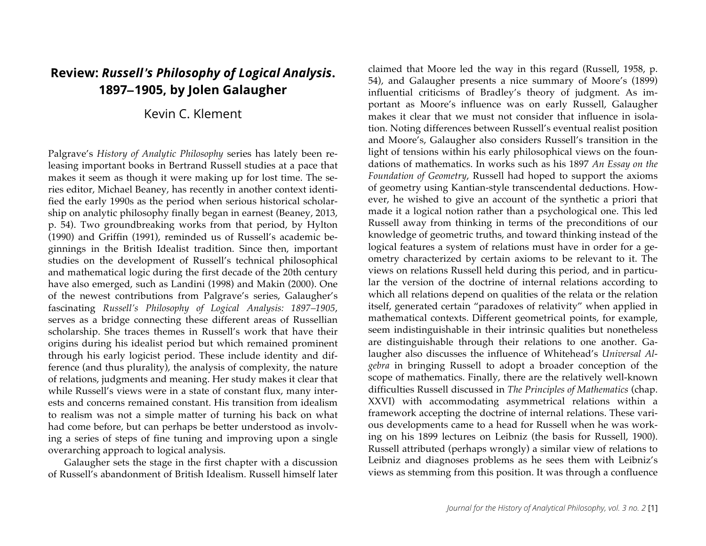## **Review:** *Russell*'*s Philosophy of Logical Analysis***. 1897**–**1905, by Jolen Galaugher**

## Kevin C. Klement

Palgrave's *History of Analytic Philosophy* series has lately been releasing important books in Bertrand Russell studies at a pace that makes it seem as though it were making up for lost time. The series editor, Michael Beaney, has recently in another context identified the early 1990s as the period when serious historical scholarship on analytic philosophy finally began in earnest (Beaney, 2013, p. 54). Two groundbreaking works from that period, by Hylton (1990) and Griffin (1991), reminded us of Russell's academic beginnings in the British Idealist tradition. Since then, important studies on the development of Russell's technical philosophical and mathematical logic during the first decade of the 20th century have also emerged, such as Landini (1998) and Makin (2000). One of the newest contributions from Palgrave's series, Galaugher's fascinating *Russell's Philosophy of Logical Analysis: 1897–1905*, serves as a bridge connecting these different areas of Russellian scholarship. She traces themes in Russell's work that have their origins during his idealist period but which remained prominent through his early logicist period. These include identity and difference (and thus plurality), the analysis of complexity, the nature of relations, judgments and meaning. Her study makes it clear that while Russell's views were in a state of constant flux, many interests and concerns remained constant. His transition from idealism to realism was not a simple matter of turning his back on what had come before, but can perhaps be better understood as involving a series of steps of fine tuning and improving upon a single overarching approach to logical analysis.

Galaugher sets the stage in the first chapter with a discussion of Russell's abandonment of British Idealism. Russell himself later claimed that Moore led the way in this regard (Russell, 1958, p. 54), and Galaugher presents a nice summary of Moore's (1899) influential criticisms of Bradley's theory of judgment. As important as Moore's influence was on early Russell, Galaugher makes it clear that we must not consider that influence in isolation. Noting differences between Russell's eventual realist position and Moore's, Galaugher also considers Russell's transition in the light of tensions within his early philosophical views on the foundations of mathematics. In works such as his 1897 *An Essay on the Foundation of Geometry*, Russell had hoped to support the axioms of geometry using Kantian-style transcendental deductions. However, he wished to give an account of the synthetic a priori that made it a logical notion rather than a psychological one. This led Russell away from thinking in terms of the preconditions of our knowledge of geometric truths, and toward thinking instead of the logical features a system of relations must have in order for a geometry characterized by certain axioms to be relevant to it. The views on relations Russell held during this period, and in particular the version of the doctrine of internal relations according to which all relations depend on qualities of the relata or the relation itself, generated certain "paradoxes of relativity" when applied in mathematical contexts. Different geometrical points, for example, seem indistinguishable in their intrinsic qualities but nonetheless are distinguishable through their relations to one another. Galaugher also discusses the influence of Whitehead's *Universal Algebra* in bringing Russell to adopt a broader conception of the scope of mathematics. Finally, there are the relatively well-known difficulties Russell discussed in *The Principles of Mathematics* (chap. XXVI) with accommodating asymmetrical relations within a framework accepting the doctrine of internal relations. These various developments came to a head for Russell when he was working on his 1899 lectures on Leibniz (the basis for Russell, 1900). Russell attributed (perhaps wrongly) a similar view of relations to Leibniz and diagnoses problems as he sees them with Leibniz's views as stemming from this position. It was through a confluence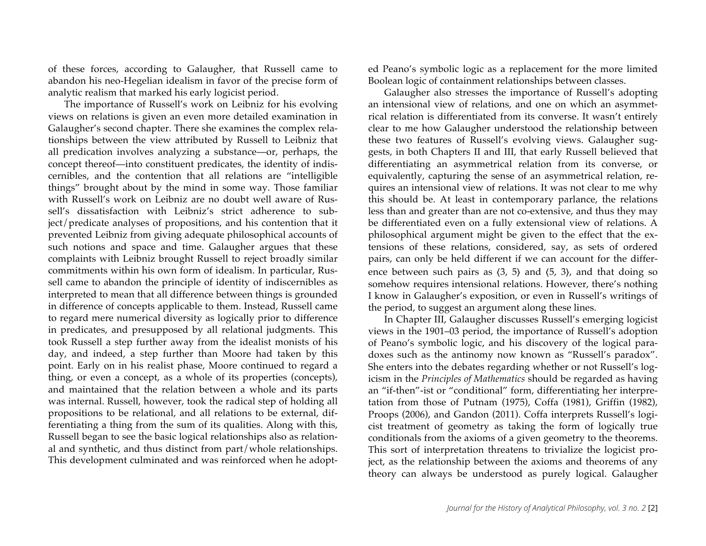of these forces, according to Galaugher, that Russell came to abandon his neo-Hegelian idealism in favor of the precise form of analytic realism that marked his early logicist period.

The importance of Russell's work on Leibniz for his evolving views on relations is given an even more detailed examination in Galaugher's second chapter. There she examines the complex relationships between the view attributed by Russell to Leibniz that all predication involves analyzing a substance—or, perhaps, the concept thereof—into constituent predicates, the identity of indiscernibles, and the contention that all relations are "intelligible things" brought about by the mind in some way. Those familiar with Russell's work on Leibniz are no doubt well aware of Russell's dissatisfaction with Leibniz's strict adherence to subject/predicate analyses of propositions, and his contention that it prevented Leibniz from giving adequate philosophical accounts of such notions and space and time. Galaugher argues that these complaints with Leibniz brought Russell to reject broadly similar commitments within his own form of idealism. In particular, Russell came to abandon the principle of identity of indiscernibles as interpreted to mean that all difference between things is grounded in difference of concepts applicable to them. Instead, Russell came to regard mere numerical diversity as logically prior to difference in predicates, and presupposed by all relational judgments. This took Russell a step further away from the idealist monists of his day, and indeed, a step further than Moore had taken by this point. Early on in his realist phase, Moore continued to regard a thing, or even a concept, as a whole of its properties (concepts), and maintained that the relation between a whole and its parts was internal. Russell, however, took the radical step of holding all propositions to be relational, and all relations to be external, differentiating a thing from the sum of its qualities. Along with this, Russell began to see the basic logical relationships also as relational and synthetic, and thus distinct from part/whole relationships. This development culminated and was reinforced when he adopted Peano's symbolic logic as a replacement for the more limited Boolean logic of containment relationships between classes.

Galaugher also stresses the importance of Russell's adopting an intensional view of relations, and one on which an asymmetrical relation is differentiated from its converse. It wasn't entirely clear to me how Galaugher understood the relationship between these two features of Russell's evolving views. Galaugher suggests, in both Chapters II and III, that early Russell believed that differentiating an asymmetrical relation from its converse, or equivalently, capturing the sense of an asymmetrical relation, requires an intensional view of relations. It was not clear to me why this should be. At least in contemporary parlance, the relations less than and greater than are not co-extensive, and thus they may be differentiated even on a fully extensional view of relations. A philosophical argument might be given to the effect that the extensions of these relations, considered, say, as sets of ordered pairs, can only be held different if we can account for the difference between such pairs as  $(3, 5)$  and  $(5, 3)$ , and that doing so somehow requires intensional relations. However, there's nothing I know in Galaugher's exposition, or even in Russell's writings of the period, to suggest an argument along these lines.

In Chapter III, Galaugher discusses Russell's emerging logicist views in the 1901–03 period, the importance of Russell's adoption of Peano's symbolic logic, and his discovery of the logical paradoxes such as the antinomy now known as "Russell's paradox". She enters into the debates regarding whether or not Russell's logicism in the *Principles of Mathematics* should be regarded as having an "if-then"-ist or "conditional" form, differentiating her interpretation from those of Putnam (1975), Coffa (1981), Griffin (1982), Proops (2006), and Gandon (2011). Coffa interprets Russell's logicist treatment of geometry as taking the form of logically true conditionals from the axioms of a given geometry to the theorems. This sort of interpretation threatens to trivialize the logicist project, as the relationship between the axioms and theorems of any theory can always be understood as purely logical. Galaugher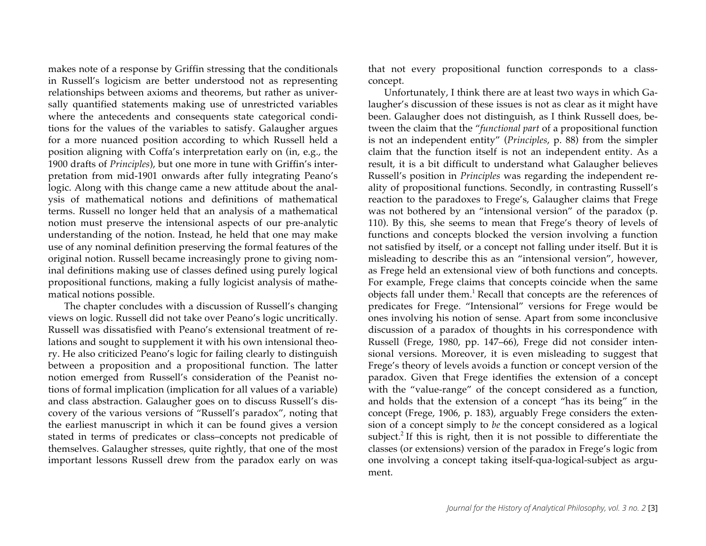makes note of a response by Griffin stressing that the conditionals in Russell's logicism are better understood not as representing relationships between axioms and theorems, but rather as universally quantified statements making use of unrestricted variables where the antecedents and consequents state categorical conditions for the values of the variables to satisfy. Galaugher argues for a more nuanced position according to which Russell held a position aligning with Coffa's interpretation early on (in, e.g., the 1900 drafts of *Principles*), but one more in tune with Griffin's interpretation from mid-1901 onwards after fully integrating Peano's logic. Along with this change came a new attitude about the analysis of mathematical notions and definitions of mathematical terms. Russell no longer held that an analysis of a mathematical notion must preserve the intensional aspects of our pre-analytic understanding of the notion. Instead, he held that one may make use of any nominal definition preserving the formal features of the original notion. Russell became increasingly prone to giving nominal definitions making use of classes defined using purely logical propositional functions, making a fully logicist analysis of mathematical notions possible.

The chapter concludes with a discussion of Russell's changing views on logic. Russell did not take over Peano's logic uncritically. Russell was dissatisfied with Peano's extensional treatment of relations and sought to supplement it with his own intensional theory. He also criticized Peano's logic for failing clearly to distinguish between a proposition and a propositional function. The latter notion emerged from Russell's consideration of the Peanist notions of formal implication (implication for all values of a variable) and class abstraction. Galaugher goes on to discuss Russell's discovery of the various versions of "Russell's paradox", noting that the earliest manuscript in which it can be found gives a version stated in terms of predicates or class–concepts not predicable of themselves. Galaugher stresses, quite rightly, that one of the most important lessons Russell drew from the paradox early on was

that not every propositional function corresponds to a classconcept.

Unfortunately, I think there are at least two ways in which Galaugher's discussion of these issues is not as clear as it might have been. Galaugher does not distinguish, as I think Russell does, between the claim that the "*functional part* of a propositional function is not an independent entity" (*Principles*, p. 88) from the simpler claim that the function itself is not an independent entity. As a result, it is a bit difficult to understand what Galaugher believes Russell's position in *Principles* was regarding the independent reality of propositional functions. Secondly, in contrasting Russell's reaction to the paradoxes to Frege's, Galaugher claims that Frege was not bothered by an "intensional version" of the paradox (p. 110). By this, she seems to mean that Frege's theory of levels of functions and concepts blocked the version involving a function not satisfied by itself, or a concept not falling under itself. But it is misleading to describe this as an "intensional version", however, as Frege held an extensional view of both functions and concepts. For example, Frege claims that concepts coincide when the same objects fall under them. <sup>1</sup> Recall that concepts are the references of predicates for Frege. "Intensional" versions for Frege would be ones involving his notion of sense. Apart from some inconclusive discussion of a paradox of thoughts in his correspondence with Russell (Frege, 1980, pp. 147–66), Frege did not consider intensional versions. Moreover, it is even misleading to suggest that Frege's theory of levels avoids a function or concept version of the paradox. Given that Frege identifies the extension of a concept with the "value-range" of the concept considered as a function, and holds that the extension of a concept "has its being" in the concept (Frege, 1906, p. 183), arguably Frege considers the extension of a concept simply to *be* the concept considered as a logical subject.<sup>2</sup> If this is right, then it is not possible to differentiate the classes (or extensions) version of the paradox in Frege's logic from one involving a concept taking itself-qua-logical-subject as argument.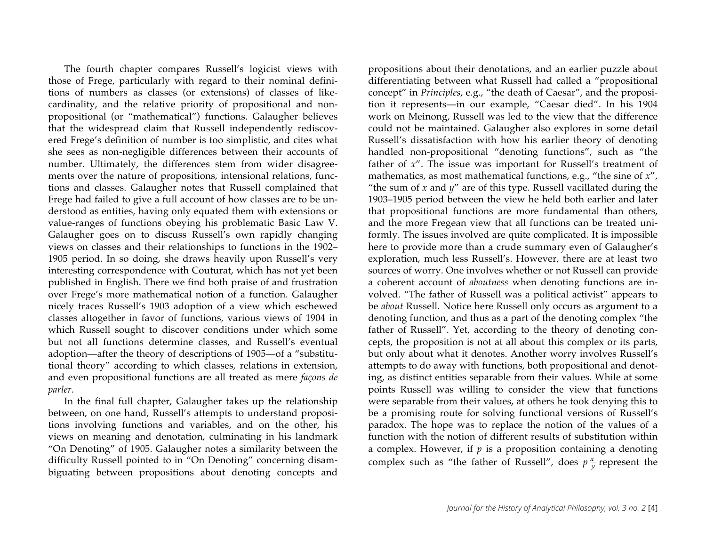The fourth chapter compares Russell's logicist views with those of Frege, particularly with regard to their nominal definitions of numbers as classes (or extensions) of classes of likecardinality, and the relative priority of propositional and nonpropositional (or "mathematical") functions. Galaugher believes that the widespread claim that Russell independently rediscovered Frege's definition of number is too simplistic, and cites what she sees as non-negligible differences between their accounts of number. Ultimately, the differences stem from wider disagreements over the nature of propositions, intensional relations, functions and classes. Galaugher notes that Russell complained that Frege had failed to give a full account of how classes are to be understood as entities, having only equated them with extensions or value-ranges of functions obeying his problematic Basic Law V. Galaugher goes on to discuss Russell's own rapidly changing views on classes and their relationships to functions in the 1902– 1905 period. In so doing, she draws heavily upon Russell's very interesting correspondence with Couturat, which has not yet been published in English. There we find both praise of and frustration over Frege's more mathematical notion of a function. Galaugher nicely traces Russell's 1903 adoption of a view which eschewed classes altogether in favor of functions, various views of 1904 in which Russell sought to discover conditions under which some but not all functions determine classes, and Russell's eventual adoption—after the theory of descriptions of 1905—of a "substitutional theory" according to which classes, relations in extension, and even propositional functions are all treated as mere *façons de parler*.

In the final full chapter, Galaugher takes up the relationship between, on one hand, Russell's attempts to understand propositions involving functions and variables, and on the other, his views on meaning and denotation, culminating in his landmark "On Denoting" of 1905. Galaugher notes a similarity between the difficulty Russell pointed to in "On Denoting" concerning disambiguating between propositions about denoting concepts and

propositions about their denotations, and an earlier puzzle about differentiating between what Russell had called a "propositional concept" in *Principles*, e.g., "the death of Caesar", and the proposition it represents—in our example, "Caesar died". In his 1904 work on Meinong, Russell was led to the view that the difference could not be maintained. Galaugher also explores in some detail Russell's dissatisfaction with how his earlier theory of denoting handled non-propositional "denoting functions", such as "the father of *x*". The issue was important for Russell's treatment of mathematics, as most mathematical functions, e.g., "the sine of *x*", "the sum of  $x$  and  $y$ " are of this type. Russell vacillated during the 1903–1905 period between the view he held both earlier and later that propositional functions are more fundamental than others, and the more Fregean view that all functions can be treated uniformly. The issues involved are quite complicated. It is impossible here to provide more than a crude summary even of Galaugher's exploration, much less Russell's. However, there are at least two sources of worry. One involves whether or not Russell can provide a coherent account of *aboutness* when denoting functions are involved. "The father of Russell was a political activist" appears to be *about* Russell. Notice here Russell only occurs as argument to a denoting function, and thus as a part of the denoting complex "the father of Russell". Yet, according to the theory of denoting concepts, the proposition is not at all about this complex or its parts, but only about what it denotes. Another worry involves Russell's attempts to do away with functions, both propositional and denoting, as distinct entities separable from their values. While at some points Russell was willing to consider the view that functions were separable from their values, at others he took denying this to be a promising route for solving functional versions of Russell's paradox. The hope was to replace the notion of the values of a function with the notion of different results of substitution within a complex. However, if *p* is a proposition containing a denoting complex such as "the father of Russell", does  $p\frac{x}{y}$  represent the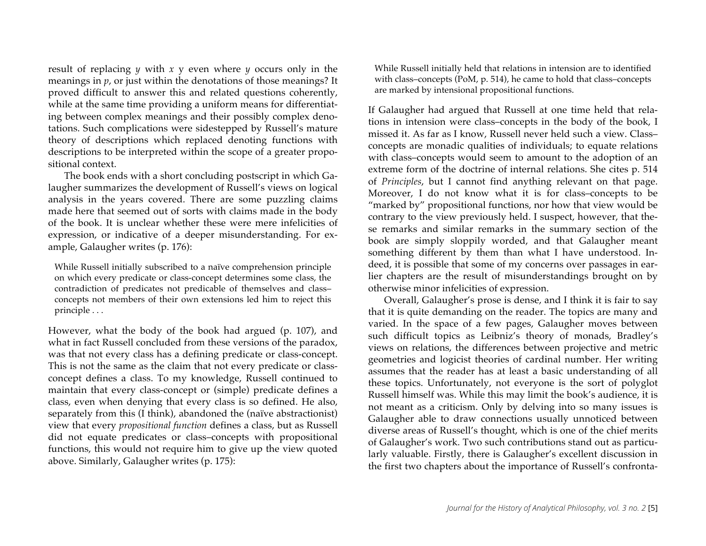result of replacing *y* with *x* y even where *y* occurs only in the meanings in *p*, or just within the denotations of those meanings? It proved difficult to answer this and related questions coherently, while at the same time providing a uniform means for differentiating between complex meanings and their possibly complex denotations. Such complications were sidestepped by Russell's mature theory of descriptions which replaced denoting functions with descriptions to be interpreted within the scope of a greater propositional context.

The book ends with a short concluding postscript in which Galaugher summarizes the development of Russell's views on logical analysis in the years covered. There are some puzzling claims made here that seemed out of sorts with claims made in the body of the book. It is unclear whether these were mere infelicities of expression, or indicative of a deeper misunderstanding. For example, Galaugher writes (p. 176):

While Russell initially subscribed to a naïve comprehension principle on which every predicate or class-concept determines some class, the contradiction of predicates not predicable of themselves and class– concepts not members of their own extensions led him to reject this principle . . .

However, what the body of the book had argued (p. 107), and what in fact Russell concluded from these versions of the paradox, was that not every class has a defining predicate or class-concept. This is not the same as the claim that not every predicate or classconcept defines a class. To my knowledge, Russell continued to maintain that every class-concept or (simple) predicate defines a class, even when denying that every class is so defined. He also, separately from this (I think), abandoned the (naïve abstractionist) view that every *propositional function* defines a class, but as Russell did not equate predicates or class–concepts with propositional functions, this would not require him to give up the view quoted above. Similarly, Galaugher writes (p. 175):

While Russell initially held that relations in intension are to identified with class–concepts (PoM, p. 514), he came to hold that class–concepts are marked by intensional propositional functions.

If Galaugher had argued that Russell at one time held that relations in intension were class–concepts in the body of the book, I missed it. As far as I know, Russell never held such a view. Class– concepts are monadic qualities of individuals; to equate relations with class–concepts would seem to amount to the adoption of an extreme form of the doctrine of internal relations. She cites p. 514 of *Principles*, but I cannot find anything relevant on that page. Moreover, I do not know what it is for class–concepts to be "marked by" propositional functions, nor how that view would be contrary to the view previously held. I suspect, however, that these remarks and similar remarks in the summary section of the book are simply sloppily worded, and that Galaugher meant something different by them than what I have understood. Indeed, it is possible that some of my concerns over passages in earlier chapters are the result of misunderstandings brought on by otherwise minor infelicities of expression.

Overall, Galaugher's prose is dense, and I think it is fair to say that it is quite demanding on the reader. The topics are many and varied. In the space of a few pages, Galaugher moves between such difficult topics as Leibniz's theory of monads, Bradley's views on relations, the differences between projective and metric geometries and logicist theories of cardinal number. Her writing assumes that the reader has at least a basic understanding of all these topics. Unfortunately, not everyone is the sort of polyglot Russell himself was. While this may limit the book's audience, it is not meant as a criticism. Only by delving into so many issues is Galaugher able to draw connections usually unnoticed between diverse areas of Russell's thought, which is one of the chief merits of Galaugher's work. Two such contributions stand out as particularly valuable. Firstly, there is Galaugher's excellent discussion in the first two chapters about the importance of Russell's confronta-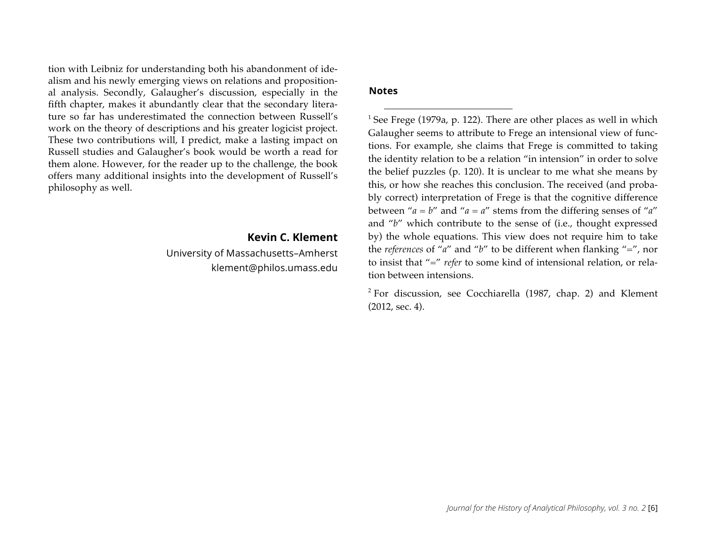tion with Leibniz for understanding both his abandonment of idealism and his newly emerging views on relations and propositional analysis. Secondly, Galaugher's discussion, especially in the fifth chapter, makes it abundantly clear that the secondary literature so far has underestimated the connection between Russell's work on the theory of descriptions and his greater logicist project. These two contributions will, I predict, make a lasting impact on Russell studies and Galaugher's book would be worth a read for them alone. However, for the reader up to the challenge, the book offers many additional insights into the development of Russell's philosophy as well.

> **Kevin C. Klement** University of Massachusetts–Amherst klement@philos.umass.edu

#### **Notes**

 $1$  See Frege (1979a, p. 122). There are other places as well in which Galaugher seems to attribute to Frege an intensional view of functions. For example, she claims that Frege is committed to taking the identity relation to be a relation "in intension" in order to solve the belief puzzles (p. 120). It is unclear to me what she means by this, or how she reaches this conclusion. The received (and probably correct) interpretation of Frege is that the cognitive difference between " $a = b$ " and " $a = a$ " stems from the differing senses of " $a$ " and "*b*" which contribute to the sense of (i.e., thought expressed by) the whole equations. This view does not require him to take the *references* of "*a*" and "*b*" to be different when flanking "=", nor to insist that "=" *refer* to some kind of intensional relation, or relation between intensions.

<sup>2</sup> For discussion, see Cocchiarella (1987, chap. 2) and Klement (2012, sec. 4).